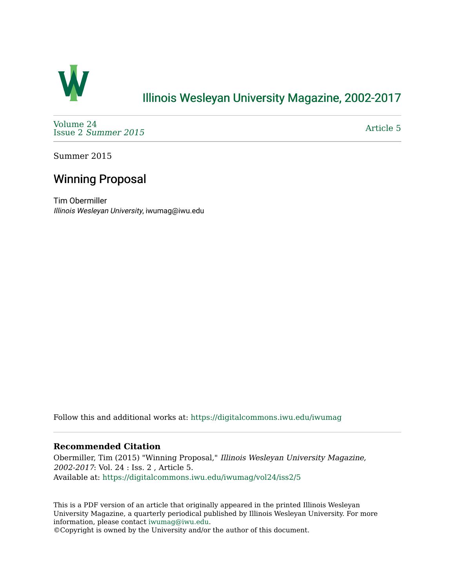

## [Illinois Wesleyan University Magazine, 2002-2017](https://digitalcommons.iwu.edu/iwumag)

[Volume 24](https://digitalcommons.iwu.edu/iwumag/vol24)  Issue 2 [Summer 2015](https://digitalcommons.iwu.edu/iwumag/vol24/iss2) 

[Article 5](https://digitalcommons.iwu.edu/iwumag/vol24/iss2/5) 

Summer 2015

## Winning Proposal

Tim Obermiller Illinois Wesleyan University, iwumag@iwu.edu

Follow this and additional works at: [https://digitalcommons.iwu.edu/iwumag](https://digitalcommons.iwu.edu/iwumag?utm_source=digitalcommons.iwu.edu%2Fiwumag%2Fvol24%2Fiss2%2F5&utm_medium=PDF&utm_campaign=PDFCoverPages) 

## **Recommended Citation**

Obermiller, Tim (2015) "Winning Proposal," Illinois Wesleyan University Magazine, 2002-2017: Vol. 24 : Iss. 2 , Article 5. Available at: [https://digitalcommons.iwu.edu/iwumag/vol24/iss2/5](https://digitalcommons.iwu.edu/iwumag/vol24/iss2/5?utm_source=digitalcommons.iwu.edu%2Fiwumag%2Fvol24%2Fiss2%2F5&utm_medium=PDF&utm_campaign=PDFCoverPages)

This is a PDF version of an article that originally appeared in the printed Illinois Wesleyan University Magazine, a quarterly periodical published by Illinois Wesleyan University. For more information, please contact [iwumag@iwu.edu](mailto:iwumag@iwu.edu).

©Copyright is owned by the University and/or the author of this document.